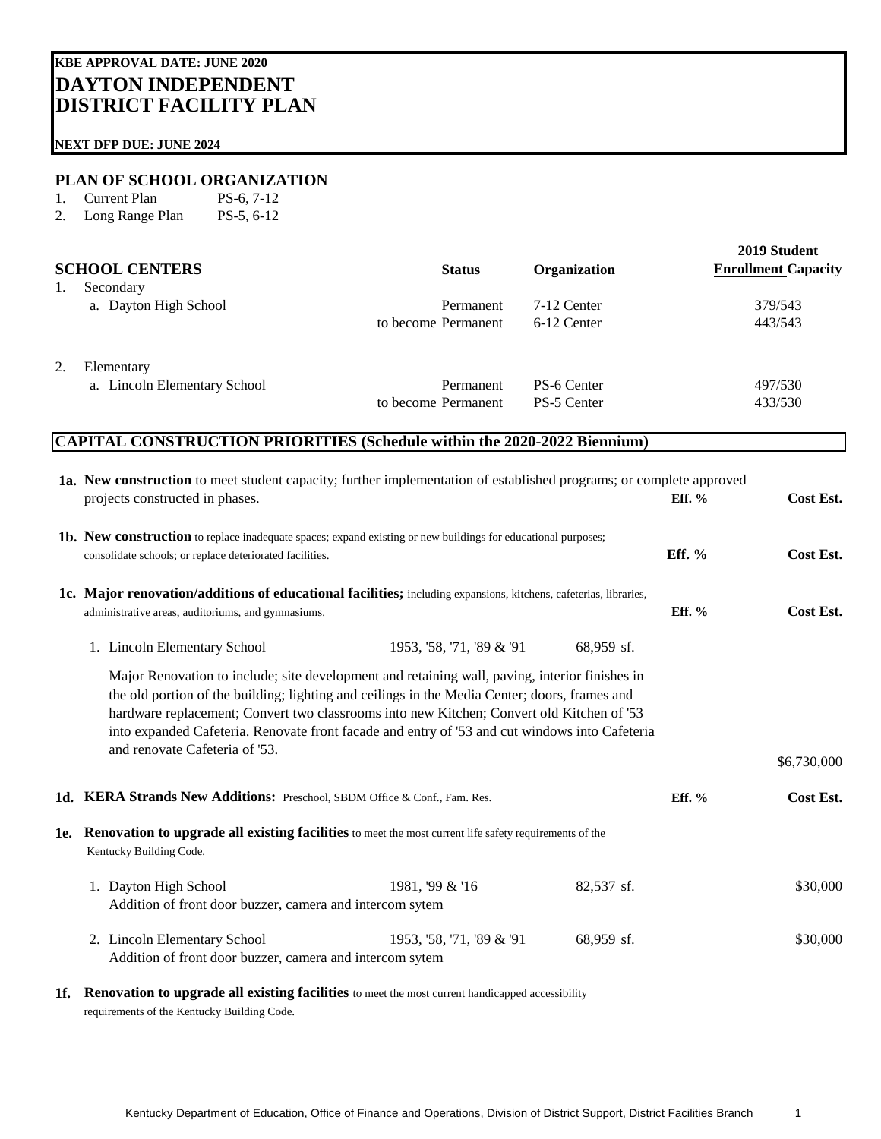## **NEXT DFP DUE: JUNE 2024**

## **PLAN OF SCHOOL ORGANIZATION**

- 1. Current Plan PS-6, 7-12
- 2. Long Range Plan PS-5, 6-12

|    | <b>SCHOOL CENTERS</b>        | <b>Status</b>       | Organization | 2019 Student<br><b>Enrollment Capacity</b> |
|----|------------------------------|---------------------|--------------|--------------------------------------------|
| 1. | Secondary                    |                     |              |                                            |
|    | a. Dayton High School        | Permanent           | 7-12 Center  | 379/543                                    |
|    |                              | to become Permanent | 6-12 Center  | 443/543                                    |
| 2. | Elementary                   |                     |              |                                            |
|    | a. Lincoln Elementary School | Permanent           | PS-6 Center  | 497/530                                    |
|    |                              | to become Permanent | PS-5 Center  | 433/530                                    |

## **CAPITAL CONSTRUCTION PRIORITIES (Schedule within the 2020-2022 Biennium)**

| 1a. New construction to meet student capacity; further implementation of established programs; or complete approved<br>projects constructed in phases.                                                                                                                                                                                                                                                                           |                           |            | Eff. $%$ | Cost Est.   |  |  |
|----------------------------------------------------------------------------------------------------------------------------------------------------------------------------------------------------------------------------------------------------------------------------------------------------------------------------------------------------------------------------------------------------------------------------------|---------------------------|------------|----------|-------------|--|--|
| <b>1b.</b> New construction to replace inadequate spaces; expand existing or new buildings for educational purposes;<br>consolidate schools; or replace deteriorated facilities.                                                                                                                                                                                                                                                 |                           |            | Eff. $%$ | Cost Est.   |  |  |
| 1c. Major renovation/additions of educational facilities; including expansions, kitchens, cafeterias, libraries,<br>administrative areas, auditoriums, and gymnasiums.                                                                                                                                                                                                                                                           |                           |            |          | Cost Est.   |  |  |
| 1. Lincoln Elementary School                                                                                                                                                                                                                                                                                                                                                                                                     | 1953, '58, '71, '89 & '91 | 68,959 sf. |          |             |  |  |
| Major Renovation to include; site development and retaining wall, paving, interior finishes in<br>the old portion of the building; lighting and ceilings in the Media Center; doors, frames and<br>hardware replacement; Convert two classrooms into new Kitchen; Convert old Kitchen of '53<br>into expanded Cafeteria. Renovate front facade and entry of '53 and cut windows into Cafeteria<br>and renovate Cafeteria of '53. |                           |            |          | \$6,730,000 |  |  |
| 1d. KERA Strands New Additions: Preschool, SBDM Office & Conf., Fam. Res.                                                                                                                                                                                                                                                                                                                                                        |                           |            | Eff. $%$ | Cost Est.   |  |  |
| 1e. Renovation to upgrade all existing facilities to meet the most current life safety requirements of the<br>Kentucky Building Code.                                                                                                                                                                                                                                                                                            |                           |            |          |             |  |  |
| 1. Dayton High School<br>Addition of front door buzzer, camera and intercom sytem                                                                                                                                                                                                                                                                                                                                                | 1981, '99 & '16           | 82,537 sf. |          | \$30,000    |  |  |
| 2. Lincoln Elementary School<br>Addition of front door buzzer, camera and intercom sytem                                                                                                                                                                                                                                                                                                                                         | 1953, '58, '71, '89 & '91 | 68,959 sf. |          | \$30,000    |  |  |

**1f. Renovation to upgrade all existing facilities** to meet the most current handicapped accessibility requirements of the Kentucky Building Code.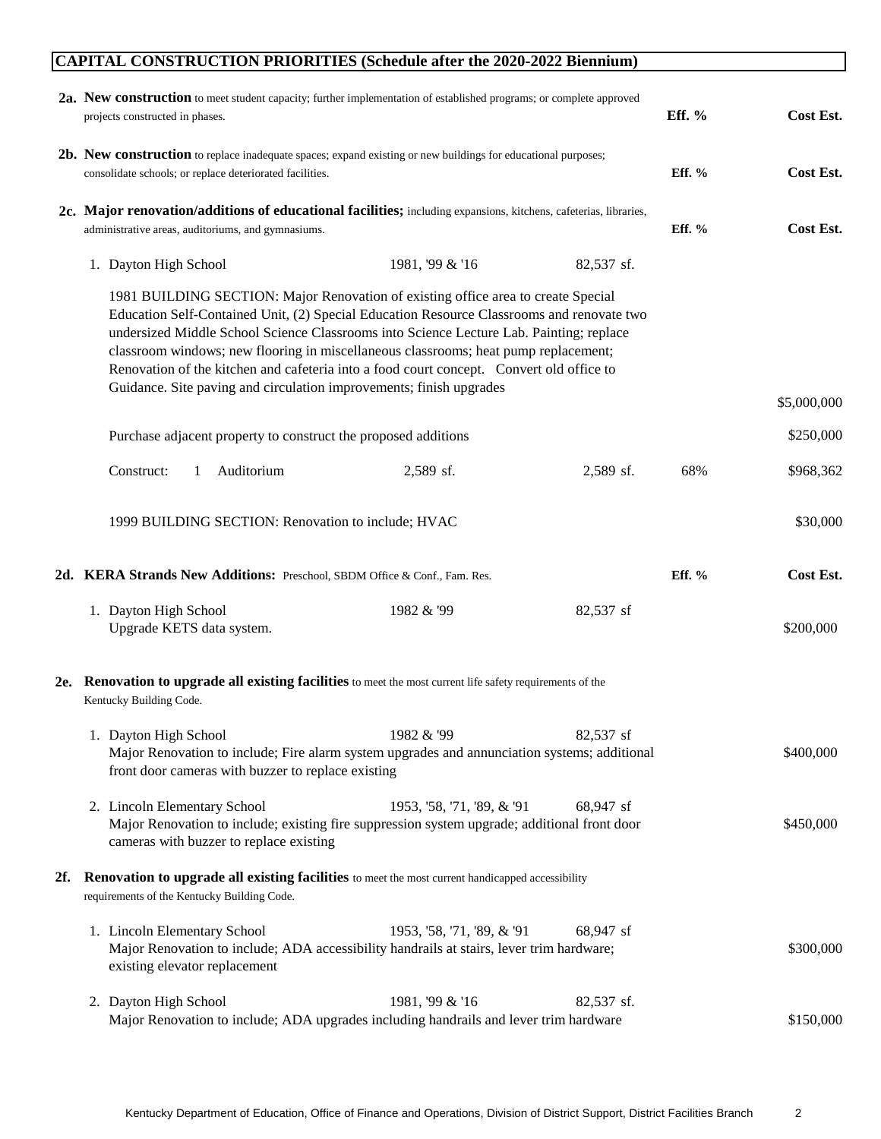## **CAPITAL CONSTRUCTION PRIORITIES (Schedule after the 2020-2022 Biennium)**

|     | 2a. New construction to meet student capacity; further implementation of established programs; or complete approved<br>projects constructed in phases.                                                                                                                                                                                                                                                                                                                                                                              |                            |            | Eff. $%$  | Cost Est.   |  |
|-----|-------------------------------------------------------------------------------------------------------------------------------------------------------------------------------------------------------------------------------------------------------------------------------------------------------------------------------------------------------------------------------------------------------------------------------------------------------------------------------------------------------------------------------------|----------------------------|------------|-----------|-------------|--|
|     | <b>2b.</b> New construction to replace inadequate spaces; expand existing or new buildings for educational purposes;<br>consolidate schools; or replace deteriorated facilities.                                                                                                                                                                                                                                                                                                                                                    |                            | Eff. %     | Cost Est. |             |  |
|     | 2c. Major renovation/additions of educational facilities; including expansions, kitchens, cafeterias, libraries,<br>administrative areas, auditoriums, and gymnasiums.                                                                                                                                                                                                                                                                                                                                                              |                            |            | Eff. %    | Cost Est.   |  |
|     | 1. Dayton High School                                                                                                                                                                                                                                                                                                                                                                                                                                                                                                               | 1981, '99 & '16            | 82,537 sf. |           |             |  |
|     | 1981 BUILDING SECTION: Major Renovation of existing office area to create Special<br>Education Self-Contained Unit, (2) Special Education Resource Classrooms and renovate two<br>undersized Middle School Science Classrooms into Science Lecture Lab. Painting; replace<br>classroom windows; new flooring in miscellaneous classrooms; heat pump replacement;<br>Renovation of the kitchen and cafeteria into a food court concept. Convert old office to<br>Guidance. Site paving and circulation improvements; finish upgrades |                            |            |           |             |  |
|     |                                                                                                                                                                                                                                                                                                                                                                                                                                                                                                                                     |                            |            |           | \$5,000,000 |  |
|     | Purchase adjacent property to construct the proposed additions                                                                                                                                                                                                                                                                                                                                                                                                                                                                      |                            |            |           | \$250,000   |  |
|     | Construct:<br>Auditorium<br>$\mathbf{1}$                                                                                                                                                                                                                                                                                                                                                                                                                                                                                            | 2,589 sf.                  | 2,589 sf.  | 68%       | \$968,362   |  |
|     | 1999 BUILDING SECTION: Renovation to include; HVAC                                                                                                                                                                                                                                                                                                                                                                                                                                                                                  |                            |            |           | \$30,000    |  |
|     | 2d. KERA Strands New Additions: Preschool, SBDM Office & Conf., Fam. Res.                                                                                                                                                                                                                                                                                                                                                                                                                                                           |                            |            | Eff. %    | Cost Est.   |  |
|     | 1. Dayton High School<br>Upgrade KETS data system.                                                                                                                                                                                                                                                                                                                                                                                                                                                                                  | 1982 & '99                 | 82,537 sf  |           | \$200,000   |  |
|     | 2e. Renovation to upgrade all existing facilities to meet the most current life safety requirements of the<br>Kentucky Building Code.                                                                                                                                                                                                                                                                                                                                                                                               |                            |            |           |             |  |
|     | 1. Dayton High School<br>Major Renovation to include; Fire alarm system upgrades and annunciation systems; additional<br>front door cameras with buzzer to replace existing                                                                                                                                                                                                                                                                                                                                                         | 1982 & '99                 | 82,537 sf  |           | \$400,000   |  |
|     | 2. Lincoln Elementary School<br>Major Renovation to include; existing fire suppression system upgrade; additional front door<br>cameras with buzzer to replace existing                                                                                                                                                                                                                                                                                                                                                             | 1953, '58, '71, '89, & '91 | 68,947 sf  |           | \$450,000   |  |
| 2f. | Renovation to upgrade all existing facilities to meet the most current handicapped accessibility<br>requirements of the Kentucky Building Code.                                                                                                                                                                                                                                                                                                                                                                                     |                            |            |           |             |  |
|     | 1. Lincoln Elementary School<br>Major Renovation to include; ADA accessibility handrails at stairs, lever trim hardware;<br>existing elevator replacement                                                                                                                                                                                                                                                                                                                                                                           | 1953, '58, '71, '89, & '91 | 68,947 sf  |           | \$300,000   |  |
|     | 2. Dayton High School<br>Major Renovation to include; ADA upgrades including handrails and lever trim hardware                                                                                                                                                                                                                                                                                                                                                                                                                      | 1981, '99 & '16            | 82,537 sf. |           | \$150,000   |  |